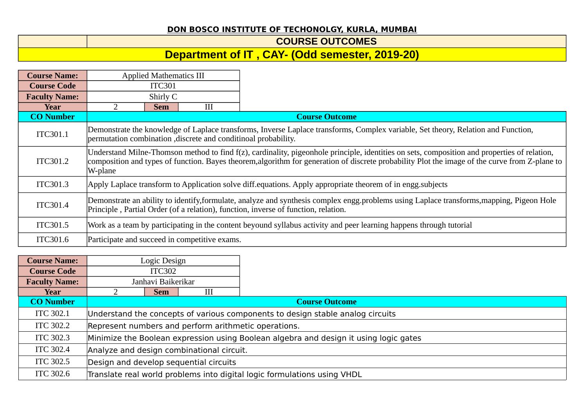## **DON BOSCO INSTITUTE OF TECHONOLGY, KURLA, MUMBAI**

## **COURSE OUTCOMES**

## **Department of IT , CAY- (Odd semester, 2019-20)**

| <b>Course Name:</b>  | <b>Applied Mathematics III</b>                                                                                                                                                                                                                                                                            |  |  |  |  |
|----------------------|-----------------------------------------------------------------------------------------------------------------------------------------------------------------------------------------------------------------------------------------------------------------------------------------------------------|--|--|--|--|
| <b>Course Code</b>   | <b>ITC301</b>                                                                                                                                                                                                                                                                                             |  |  |  |  |
| <b>Faculty Name:</b> | Shirly C                                                                                                                                                                                                                                                                                                  |  |  |  |  |
| Year                 | III<br><b>Sem</b>                                                                                                                                                                                                                                                                                         |  |  |  |  |
| <b>CO</b> Number     | <b>Course Outcome</b>                                                                                                                                                                                                                                                                                     |  |  |  |  |
| ITC301.1             | Demonstrate the knowledge of Laplace transforms, Inverse Laplace transforms, Complex variable, Set theory, Relation and Function,<br>permutation combination , discrete and conditinoal probability.                                                                                                      |  |  |  |  |
| ITC301.2             | Understand Milne-Thomson method to find f(z), cardinality, pigeonhole principle, identities on sets, composition and properties of relation,<br>composition and types of function. Bayes theorem, algorithm for generation of discrete probability Plot the image of the curve from Z-plane to<br>W-plane |  |  |  |  |
| ITC301.3             | Apply Laplace transform to Application solve diff.equations. Apply appropriate theorem of in engg.subjects                                                                                                                                                                                                |  |  |  |  |
| ITC301.4             | Demonstrate an ability to identify, formulate, analyze and synthesis complex engg.problems using Laplace transforms, mapping, Pigeon Hole<br>Principle, Partial Order (of a relation), function, inverse of function, relation.                                                                           |  |  |  |  |
| ITC301.5             | Work as a team by participating in the content beyound syllabus activity and peer learning happens through tutorial                                                                                                                                                                                       |  |  |  |  |
| ITC301.6             | Participate and succeed in competitive exams.                                                                                                                                                                                                                                                             |  |  |  |  |

| <b>Course Name:</b>  | Logic Design                                                                          |                    |   |                                                                          |  |
|----------------------|---------------------------------------------------------------------------------------|--------------------|---|--------------------------------------------------------------------------|--|
| <b>Course Code</b>   | <b>ITC302</b>                                                                         |                    |   |                                                                          |  |
| <b>Faculty Name:</b> |                                                                                       | Janhavi Baikerikar |   |                                                                          |  |
| Year                 |                                                                                       | <b>Sem</b>         | Ш |                                                                          |  |
| <b>CO Number</b>     |                                                                                       |                    |   | <b>Course Outcome</b>                                                    |  |
| <b>ITC 302.1</b>     | Understand the concepts of various components to design stable analog circuits        |                    |   |                                                                          |  |
| <b>ITC 302.2</b>     | Represent numbers and perform arithmetic operations.                                  |                    |   |                                                                          |  |
| <b>ITC 302.3</b>     | Minimize the Boolean expression using Boolean algebra and design it using logic gates |                    |   |                                                                          |  |
| <b>ITC 302.4</b>     | Analyze and design combinational circuit.                                             |                    |   |                                                                          |  |
| <b>ITC 302.5</b>     | Design and develop sequential circuits                                                |                    |   |                                                                          |  |
| <b>ITC 302.6</b>     |                                                                                       |                    |   | Translate real world problems into digital logic formulations using VHDL |  |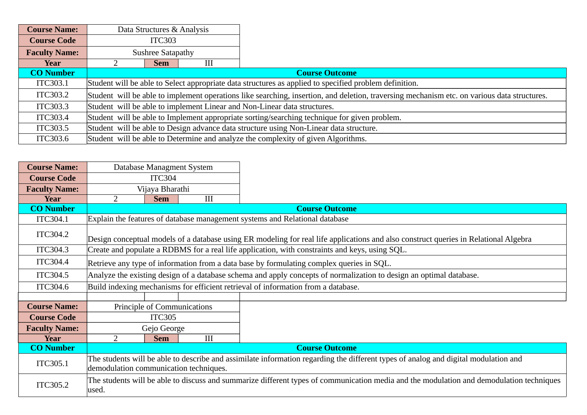| <b>Course Name:</b>  |                                                                                              | Data Structures & Analysis                                                                                                                  |   |                                                                                                        |  |  |
|----------------------|----------------------------------------------------------------------------------------------|---------------------------------------------------------------------------------------------------------------------------------------------|---|--------------------------------------------------------------------------------------------------------|--|--|
| <b>Course Code</b>   | <b>ITC303</b>                                                                                |                                                                                                                                             |   |                                                                                                        |  |  |
| <b>Faculty Name:</b> | <b>Sushree Satapathy</b>                                                                     |                                                                                                                                             |   |                                                                                                        |  |  |
| Year                 |                                                                                              | <b>Sem</b>                                                                                                                                  | Ш |                                                                                                        |  |  |
| <b>CO Number</b>     |                                                                                              |                                                                                                                                             |   | <b>Course Outcome</b>                                                                                  |  |  |
| ITC303.1             |                                                                                              |                                                                                                                                             |   | Student will be able to Select appropriate data structures as applied to specified problem definition. |  |  |
| ITC303.2             |                                                                                              | Student will be able to implement operations like searching, insertion, and deletion, traversing mechanism etc. on various data structures. |   |                                                                                                        |  |  |
| ITC303.3             |                                                                                              | Student will be able to implement Linear and Non-Linear data structures.                                                                    |   |                                                                                                        |  |  |
| ITC303.4             | Student will be able to Implement appropriate sorting/searching technique for given problem. |                                                                                                                                             |   |                                                                                                        |  |  |
| ITC303.5             |                                                                                              |                                                                                                                                             |   | Student will be able to Design advance data structure using Non-Linear data structure.                 |  |  |
| ITC303.6             |                                                                                              |                                                                                                                                             |   | Student will be able to Determine and analyze the complexity of given Algorithms.                      |  |  |

| <b>Course Name:</b>  | Database Managment System                                                                                                                                                     |  |  |  |
|----------------------|-------------------------------------------------------------------------------------------------------------------------------------------------------------------------------|--|--|--|
| <b>Course Code</b>   | ITC304                                                                                                                                                                        |  |  |  |
| <b>Faculty Name:</b> | Vijaya Bharathi                                                                                                                                                               |  |  |  |
| Year                 | III<br>$\mathcal{P}$<br><b>Sem</b>                                                                                                                                            |  |  |  |
| <b>CO Number</b>     |                                                                                                                                                                               |  |  |  |
| ITC304.1             | Explain the features of database management systems and Relational database                                                                                                   |  |  |  |
| <b>ITC304.2</b>      | Design conceptual models of a database using ER modeling for real life applications and also construct queries in Relational Algebra                                          |  |  |  |
| ITC304.3             | Create and populate a RDBMS for a real life application, with constraints and keys, using SQL.                                                                                |  |  |  |
| ITC304.4             | Retrieve any type of information from a data base by formulating complex queries in SQL.                                                                                      |  |  |  |
| ITC304.5             | Analyze the existing design of a database schema and apply concepts of normalization to design an optimal database.                                                           |  |  |  |
| <b>ITC304.6</b>      | Build indexing mechanisms for efficient retrieval of information from a database.                                                                                             |  |  |  |
|                      |                                                                                                                                                                               |  |  |  |
| <b>Course Name:</b>  | Principle of Communications                                                                                                                                                   |  |  |  |
| <b>Course Code</b>   | <b>ITC305</b>                                                                                                                                                                 |  |  |  |
| <b>Faculty Name:</b> | Gejo George                                                                                                                                                                   |  |  |  |
| Year                 | III<br>2<br><b>Sem</b>                                                                                                                                                        |  |  |  |
| <b>CO Number</b>     |                                                                                                                                                                               |  |  |  |
| ITC305.1             | The students will be able to describe and assimilate information regarding the different types of analog and digital modulation and<br>demodulation communication techniques. |  |  |  |
| ITC305.2             | The students will be able to discuss and summarize different types of communication media and the modulation and demodulation techniques<br>used.                             |  |  |  |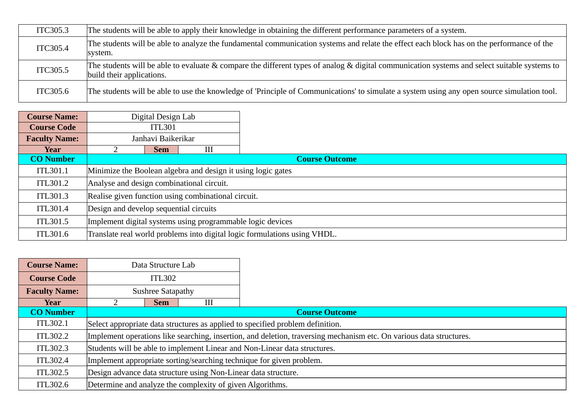| ITC305.3        | The students will be able to apply their knowledge in obtaining the different performance parameters of a system.                                                                     |
|-----------------|---------------------------------------------------------------------------------------------------------------------------------------------------------------------------------------|
| ITC305.4        | The students will be able to analyze the fundamental communication systems and relate the effect each block has on the performance of the<br>system.                                  |
| ITC305.5        | The students will be able to evaluate & compare the different types of analog & digital communication systems and select suitable systems to $\parallel$<br>build their applications. |
| <b>ITC305.6</b> | The students will be able to use the knowledge of 'Principle of Communications' to simulate a system using any open source simulation tool.                                           |

| <b>Course Name:</b>  | Digital Design Lab                                           |                                                     |   |                                                                           |  |
|----------------------|--------------------------------------------------------------|-----------------------------------------------------|---|---------------------------------------------------------------------------|--|
| <b>Course Code</b>   | <b>ITL301</b>                                                |                                                     |   |                                                                           |  |
| <b>Faculty Name:</b> |                                                              | Janhavi Baikerikar                                  |   |                                                                           |  |
| Year                 |                                                              | <b>Sem</b>                                          | Ш |                                                                           |  |
| <b>CO Number</b>     |                                                              |                                                     |   | <b>Course Outcome</b>                                                     |  |
| ITL301.1             | Minimize the Boolean algebra and design it using logic gates |                                                     |   |                                                                           |  |
| ITL301.2             | Analyse and design combinational circuit.                    |                                                     |   |                                                                           |  |
| ITL301.3             |                                                              | Realise given function using combinational circuit. |   |                                                                           |  |
| ITL301.4             |                                                              | Design and develop sequential circuits              |   |                                                                           |  |
| ITL301.5             | Implement digital systems using programmable logic devices   |                                                     |   |                                                                           |  |
| ITL301.6             |                                                              |                                                     |   | Translate real world problems into digital logic formulations using VHDL. |  |

| <b>Course Name:</b>  |                                                                                                                     | Data Structure Lab                                                        |                                                           |                       |  |  |
|----------------------|---------------------------------------------------------------------------------------------------------------------|---------------------------------------------------------------------------|-----------------------------------------------------------|-----------------------|--|--|
| <b>Course Code</b>   | <b>ITL302</b>                                                                                                       |                                                                           |                                                           |                       |  |  |
| <b>Faculty Name:</b> | <b>Sushree Satapathy</b>                                                                                            |                                                                           |                                                           |                       |  |  |
| <b>Year</b>          |                                                                                                                     | <b>Sem</b>                                                                | Ш                                                         |                       |  |  |
| <b>CO Number</b>     |                                                                                                                     |                                                                           |                                                           | <b>Course Outcome</b> |  |  |
| ITL302.1             | Select appropriate data structures as applied to specified problem definition.                                      |                                                                           |                                                           |                       |  |  |
| ITL302.2             | Implement operations like searching, insertion, and deletion, traversing mechanism etc. On various data structures. |                                                                           |                                                           |                       |  |  |
| ITL302.3             |                                                                                                                     | Students will be able to implement Linear and Non-Linear data structures. |                                                           |                       |  |  |
| ITL302.4             | Implement appropriate sorting/searching technique for given problem.                                                |                                                                           |                                                           |                       |  |  |
| ITL302.5             | Design advance data structure using Non-Linear data structure.                                                      |                                                                           |                                                           |                       |  |  |
| ITL302.6             |                                                                                                                     |                                                                           | Determine and analyze the complexity of given Algorithms. |                       |  |  |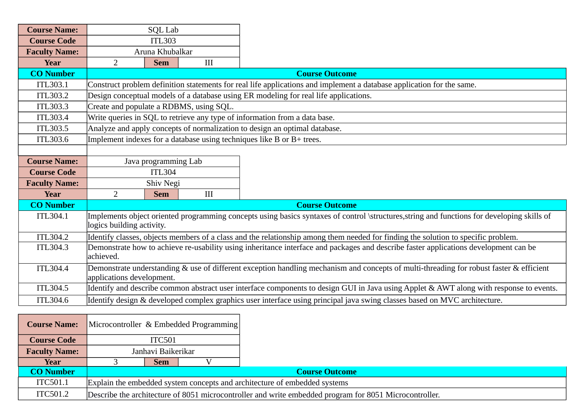| <b>Course Name:</b>  | <b>SQL Lab</b>                                                                                                                                                           |            |     |                                                                                                                                   |
|----------------------|--------------------------------------------------------------------------------------------------------------------------------------------------------------------------|------------|-----|-----------------------------------------------------------------------------------------------------------------------------------|
| <b>Course Code</b>   | <b>ITL303</b>                                                                                                                                                            |            |     |                                                                                                                                   |
| <b>Faculty Name:</b> | Aruna Khubalkar                                                                                                                                                          |            |     |                                                                                                                                   |
| <b>Year</b>          | $\overline{2}$                                                                                                                                                           | <b>Sem</b> | III |                                                                                                                                   |
| <b>CO Number</b>     |                                                                                                                                                                          |            |     | <b>Course Outcome</b>                                                                                                             |
| ITL303.1             |                                                                                                                                                                          |            |     | Construct problem definition statements for real life applications and implement a database application for the same.             |
| ITL303.2             |                                                                                                                                                                          |            |     | Design conceptual models of a database using ER modeling for real life applications.                                              |
| <b>ITL303.3</b>      | Create and populate a RDBMS, using SQL.                                                                                                                                  |            |     |                                                                                                                                   |
| <b>ITL303.4</b>      |                                                                                                                                                                          |            |     | Write queries in SQL to retrieve any type of information from a data base.                                                        |
| <b>ITL303.5</b>      |                                                                                                                                                                          |            |     | Analyze and apply concepts of normalization to design an optimal database.                                                        |
| <b>ITL303.6</b>      |                                                                                                                                                                          |            |     | Implement indexes for a database using techniques like $B$ or $B$ + trees.                                                        |
|                      |                                                                                                                                                                          |            |     |                                                                                                                                   |
| <b>Course Name:</b>  | Java programming Lab                                                                                                                                                     |            |     |                                                                                                                                   |
| <b>Course Code</b>   | <b>ITL304</b>                                                                                                                                                            |            |     |                                                                                                                                   |
| <b>Faculty Name:</b> |                                                                                                                                                                          | Shiv Negi  |     |                                                                                                                                   |
| <b>Year</b>          | $\overline{2}$<br>III<br><b>Sem</b>                                                                                                                                      |            |     |                                                                                                                                   |
| <b>CO Number</b>     |                                                                                                                                                                          |            |     | <b>Course Outcome</b>                                                                                                             |
| ITL304.1             | Implements object oriented programming concepts using basics syntaxes of control \structures, string and functions for developing skills of<br>logics building activity. |            |     |                                                                                                                                   |
| ITL304.2             |                                                                                                                                                                          |            |     | Identify classes, objects members of a class and the relationship among them needed for finding the solution to specific problem. |
| <b>ITL304.3</b>      | Demonstrate how to achieve re-usability using inheritance interface and packages and describe faster applications development can be<br>achieved.                        |            |     |                                                                                                                                   |
| ITL304.4             | Demonstrate understanding & use of different exception handling mechanism and concepts of multi-threading for robust faster & efficient<br>applications development.     |            |     |                                                                                                                                   |
| ITL304.5             | Identify and describe common abstract user interface components to design GUI in Java using Applet & AWT along with response to events.                                  |            |     |                                                                                                                                   |
| ITL304.6             |                                                                                                                                                                          |            |     | Identify design & developed complex graphics user interface using principal java swing classes based on MVC architecture.         |
|                      |                                                                                                                                                                          |            |     |                                                                                                                                   |

| <b>Course Name:</b>  |                                                                           |                       | Microcontroller & Embedded Programming |                                                                                                        |  |
|----------------------|---------------------------------------------------------------------------|-----------------------|----------------------------------------|--------------------------------------------------------------------------------------------------------|--|
| <b>Course Code</b>   |                                                                           | ITC501                |                                        |                                                                                                        |  |
| <b>Faculty Name:</b> | Janhavi Baikerikar                                                        |                       |                                        |                                                                                                        |  |
| Year                 | <b>Sem</b>                                                                |                       |                                        |                                                                                                        |  |
| <b>CO Number</b>     |                                                                           | <b>Course Outcome</b> |                                        |                                                                                                        |  |
| ITC501.1             | Explain the embedded system concepts and architecture of embedded systems |                       |                                        |                                                                                                        |  |
| ITC501.2             |                                                                           |                       |                                        | Describe the architecture of 8051 microcontroller and write embedded program for 8051 Microcontroller. |  |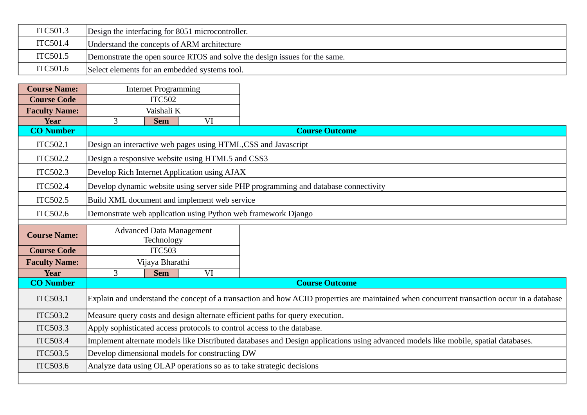| ITC501.3 | Design the interfacing for 8051 microcontroller.                           |
|----------|----------------------------------------------------------------------------|
| ITC501.4 | Understand the concepts of ARM architecture                                |
| ITC501.5 | Demonstrate the open source RTOS and solve the design issues for the same. |
| ITC501.6 | Select elements for an embedded systems tool.                              |

| <b>Course Name:</b>  | <b>Internet Programming</b>                                                                                                                |            |                                                  |                                                                                     |
|----------------------|--------------------------------------------------------------------------------------------------------------------------------------------|------------|--------------------------------------------------|-------------------------------------------------------------------------------------|
| <b>Course Code</b>   | <b>ITC502</b>                                                                                                                              |            |                                                  |                                                                                     |
| <b>Faculty Name:</b> | Vaishali K                                                                                                                                 |            |                                                  |                                                                                     |
| <b>Year</b>          | 3                                                                                                                                          | <b>Sem</b> | VI                                               |                                                                                     |
| <b>CO Number</b>     |                                                                                                                                            |            |                                                  | <b>Course Outcome</b>                                                               |
| ITC502.1             |                                                                                                                                            |            |                                                  | Design an interactive web pages using HTML, CSS and Javascript                      |
| ITC502.2             |                                                                                                                                            |            | Design a responsive website using HTML5 and CSS3 |                                                                                     |
| <b>ITC502.3</b>      |                                                                                                                                            |            | Develop Rich Internet Application using AJAX     |                                                                                     |
| ITC502.4             |                                                                                                                                            |            |                                                  | Develop dynamic website using server side PHP programming and database connectivity |
| ITC502.5             | Build XML document and implement web service                                                                                               |            |                                                  |                                                                                     |
| ITC502.6             |                                                                                                                                            |            |                                                  | Demonstrate web application using Python web framework Django                       |
| <b>Course Name:</b>  | <b>Advanced Data Management</b><br>Technology                                                                                              |            |                                                  |                                                                                     |
| <b>Course Code</b>   | <b>ITC503</b>                                                                                                                              |            |                                                  |                                                                                     |
| <b>Faculty Name:</b> | Vijaya Bharathi                                                                                                                            |            |                                                  |                                                                                     |
| <b>Year</b>          | 3                                                                                                                                          | <b>Sem</b> | VI                                               |                                                                                     |
| <b>CO Number</b>     |                                                                                                                                            |            |                                                  | <b>Course Outcome</b>                                                               |
| ITC503.1             | Explain and understand the concept of a transaction and how ACID properties are maintained when concurrent transaction occur in a database |            |                                                  |                                                                                     |
| ITC503.2             | Measure query costs and design alternate efficient paths for query execution.                                                              |            |                                                  |                                                                                     |
| ITC503.3             | Apply sophisticated access protocols to control access to the database.                                                                    |            |                                                  |                                                                                     |
| <b>ITC503.4</b>      | Implement alternate models like Distributed databases and Design applications using advanced models like mobile, spatial databases.        |            |                                                  |                                                                                     |
| ITC503.5             |                                                                                                                                            |            | Develop dimensional models for constructing DW   |                                                                                     |
| ITC503.6             |                                                                                                                                            |            |                                                  | Analyze data using OLAP operations so as to take strategic decisions                |
|                      |                                                                                                                                            |            |                                                  |                                                                                     |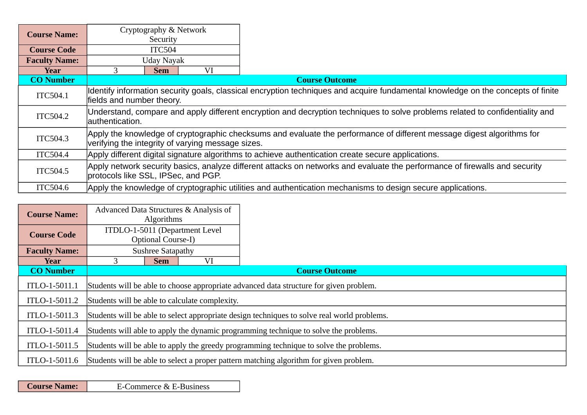| <b>Course Name:</b>  | Cryptography & Network<br>Security                                                                                                                                          |    |                                                                                                                                  |  |  |
|----------------------|-----------------------------------------------------------------------------------------------------------------------------------------------------------------------------|----|----------------------------------------------------------------------------------------------------------------------------------|--|--|
| <b>Course Code</b>   | ITC504                                                                                                                                                                      |    |                                                                                                                                  |  |  |
| <b>Faculty Name:</b> | Uday Nayak                                                                                                                                                                  |    |                                                                                                                                  |  |  |
| Year                 | <b>Sem</b>                                                                                                                                                                  | VI |                                                                                                                                  |  |  |
| <b>CO Number</b>     |                                                                                                                                                                             |    | <b>Course Outcome</b>                                                                                                            |  |  |
| ITC504.1             | fields and number theory.                                                                                                                                                   |    | Identify information security goals, classical encryption techniques and acquire fundamental knowledge on the concepts of finite |  |  |
| ITC504.2             | authentication.                                                                                                                                                             |    | Understand, compare and apply different encryption and decryption techniques to solve problems related to confidentiality and    |  |  |
| ITC504.3             | Apply the knowledge of cryptographic checksums and evaluate the performance of different message digest algorithms for<br>verifying the integrity of varying message sizes. |    |                                                                                                                                  |  |  |
| ITC504.4             | Apply different digital signature algorithms to achieve authentication create secure applications.                                                                          |    |                                                                                                                                  |  |  |
| ITC504.5             | protocols like SSL, IPSec, and PGP.                                                                                                                                         |    | Apply network security basics, analyze different attacks on networks and evaluate the performance of firewalls and security      |  |  |
| ITC504.6             |                                                                                                                                                                             |    | Apply the knowledge of cryptographic utilities and authentication mechanisms to design secure applications.                      |  |  |

| <b>Course Name:</b>  |                                                                                        | <b>Algorithms</b>                                                                           | Advanced Data Structures & Analysis of |                                                                                        |  |  |  |  |
|----------------------|----------------------------------------------------------------------------------------|---------------------------------------------------------------------------------------------|----------------------------------------|----------------------------------------------------------------------------------------|--|--|--|--|
| <b>Course Code</b>   | ITDLO-1-5011 (Department Level<br>Optional Course-I)                                   |                                                                                             |                                        |                                                                                        |  |  |  |  |
| <b>Faculty Name:</b> |                                                                                        | <b>Sushree Satapathy</b>                                                                    |                                        |                                                                                        |  |  |  |  |
| Year                 |                                                                                        | <b>Sem</b>                                                                                  | VI                                     |                                                                                        |  |  |  |  |
| <b>CO Number</b>     |                                                                                        |                                                                                             |                                        | <b>Course Outcome</b>                                                                  |  |  |  |  |
| ITLO-1-5011.1        |                                                                                        |                                                                                             |                                        | Students will be able to choose appropriate advanced data structure for given problem. |  |  |  |  |
| ITLO-1-5011.2        |                                                                                        | Students will be able to calculate complexity.                                              |                                        |                                                                                        |  |  |  |  |
| ITLO-1-5011.3        |                                                                                        | Students will be able to select appropriate design techniques to solve real world problems. |                                        |                                                                                        |  |  |  |  |
| ITLO-1-5011.4        | Students will able to apply the dynamic programming technique to solve the problems.   |                                                                                             |                                        |                                                                                        |  |  |  |  |
| ITLO-1-5011.5        | Students will be able to apply the greedy programming technique to solve the problems. |                                                                                             |                                        |                                                                                        |  |  |  |  |
| ITLO-1-5011.6        |                                                                                        |                                                                                             |                                        | Students will be able to select a proper pattern matching algorithm for given problem. |  |  |  |  |

**Course Name:** E-Commerce & E-Business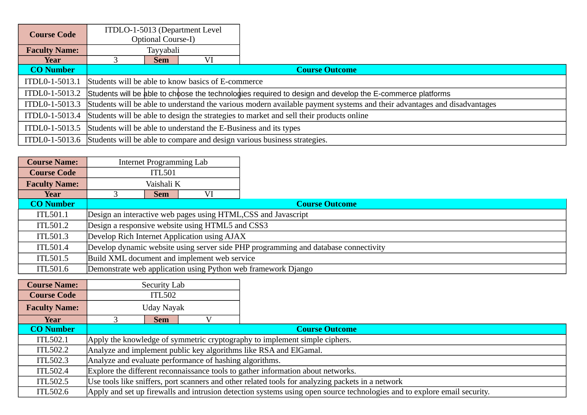| <b>Course Code</b>   | ITDLO-1-5013 (Department Level<br><b>Optional Course-I)</b> |                                                                                                                                        |    |                                                                                         |  |  |  |  |
|----------------------|-------------------------------------------------------------|----------------------------------------------------------------------------------------------------------------------------------------|----|-----------------------------------------------------------------------------------------|--|--|--|--|
| <b>Faculty Name:</b> | Tayyabali                                                   |                                                                                                                                        |    |                                                                                         |  |  |  |  |
| Year                 |                                                             | <b>Sem</b>                                                                                                                             | VI |                                                                                         |  |  |  |  |
| <b>CO</b> Number     |                                                             |                                                                                                                                        |    | <b>Course Outcome</b>                                                                   |  |  |  |  |
| ITDL0-1-5013.1       |                                                             | Students will be able to know basics of E-commerce                                                                                     |    |                                                                                         |  |  |  |  |
| ITDL0-1-5013.2       |                                                             | Students will be able to choose the technologies required to design and develop the E-commerce platforms                               |    |                                                                                         |  |  |  |  |
|                      |                                                             | ITDL0-1-5013.3 Students will be able to understand the various modern available payment systems and their advantages and disadvantages |    |                                                                                         |  |  |  |  |
|                      |                                                             | ITDL0-1-5013.4 Students will be able to design the strategies to market and sell their products online                                 |    |                                                                                         |  |  |  |  |
|                      |                                                             | ITDL0-1-5013.5 Students will be able to understand the E-Business and its types                                                        |    |                                                                                         |  |  |  |  |
|                      |                                                             |                                                                                                                                        |    | ITDL0-1-5013.6 Students will be able to compare and design various business strategies. |  |  |  |  |

| <b>Course Name:</b>  | Internet Programming Lab                                                            |                                                  |                                                                |  |  |  |  |
|----------------------|-------------------------------------------------------------------------------------|--------------------------------------------------|----------------------------------------------------------------|--|--|--|--|
| <b>Course Code</b>   | <b>ITL501</b>                                                                       |                                                  |                                                                |  |  |  |  |
| <b>Faculty Name:</b> | Vaishali K                                                                          |                                                  |                                                                |  |  |  |  |
| Year                 | <b>Sem</b>                                                                          | VI                                               |                                                                |  |  |  |  |
| <b>CO Number</b>     |                                                                                     |                                                  | <b>Course Outcome</b>                                          |  |  |  |  |
| ITL501.1             |                                                                                     |                                                  | Design an interactive web pages using HTML, CSS and Javascript |  |  |  |  |
| ITL501.2             |                                                                                     | Design a responsive website using HTML5 and CSS3 |                                                                |  |  |  |  |
| ITL501.3             | Develop Rich Internet Application using AJAX                                        |                                                  |                                                                |  |  |  |  |
| ITL501.4             | Develop dynamic website using server side PHP programming and database connectivity |                                                  |                                                                |  |  |  |  |
| ITL501.5             | Build XML document and implement web service                                        |                                                  |                                                                |  |  |  |  |
| ITL501.6             |                                                                                     |                                                  | Demonstrate web application using Python web framework Django  |  |  |  |  |
|                      |                                                                                     |                                                  |                                                                |  |  |  |  |

| <b>Course Name:</b>  |            | Security Lab                                                                                      |  |                                                                                                                          |  |  |  |  |
|----------------------|------------|---------------------------------------------------------------------------------------------------|--|--------------------------------------------------------------------------------------------------------------------------|--|--|--|--|
| <b>Course Code</b>   |            | <b>ITL502</b>                                                                                     |  |                                                                                                                          |  |  |  |  |
| <b>Faculty Name:</b> |            | Uday Nayak                                                                                        |  |                                                                                                                          |  |  |  |  |
| Year                 | <b>Sem</b> |                                                                                                   |  |                                                                                                                          |  |  |  |  |
| <b>CO Number</b>     |            |                                                                                                   |  | <b>Course Outcome</b>                                                                                                    |  |  |  |  |
| ITL502.1             |            |                                                                                                   |  | Apply the knowledge of symmetric cryptography to implement simple ciphers.                                               |  |  |  |  |
| ITL502.2             |            |                                                                                                   |  | Analyze and implement public key algorithms like RSA and ElGamal.                                                        |  |  |  |  |
| ITL502.3             |            | Analyze and evaluate performance of hashing algorithms.                                           |  |                                                                                                                          |  |  |  |  |
| ITL502.4             |            | Explore the different reconnaissance tools to gather information about networks.                  |  |                                                                                                                          |  |  |  |  |
| ITL502.5             |            | Use tools like sniffers, port scanners and other related tools for analyzing packets in a network |  |                                                                                                                          |  |  |  |  |
| ITL502.6             |            |                                                                                                   |  | Apply and set up firewalls and intrusion detection systems using open source technologies and to explore email security. |  |  |  |  |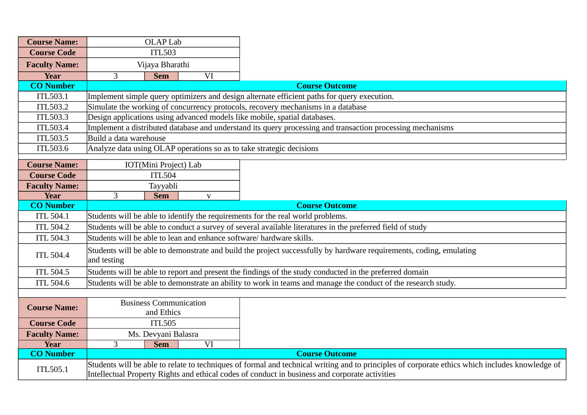| <b>Course Name:</b>  |                                                                                                                                                                                                                                                   | <b>OLAP Lab</b>                                                                                                     |             |                                                                                                            |  |  |  |
|----------------------|---------------------------------------------------------------------------------------------------------------------------------------------------------------------------------------------------------------------------------------------------|---------------------------------------------------------------------------------------------------------------------|-------------|------------------------------------------------------------------------------------------------------------|--|--|--|
| <b>Course Code</b>   | <b>ITL503</b>                                                                                                                                                                                                                                     |                                                                                                                     |             |                                                                                                            |  |  |  |
| <b>Faculty Name:</b> | Vijaya Bharathi                                                                                                                                                                                                                                   |                                                                                                                     |             |                                                                                                            |  |  |  |
| <b>Year</b>          | 3                                                                                                                                                                                                                                                 | <b>Sem</b>                                                                                                          | VI          |                                                                                                            |  |  |  |
| <b>CO Number</b>     |                                                                                                                                                                                                                                                   |                                                                                                                     |             | <b>Course Outcome</b>                                                                                      |  |  |  |
| <b>ITL503.1</b>      |                                                                                                                                                                                                                                                   |                                                                                                                     |             | Implement simple query optimizers and design alternate efficient paths for query execution.                |  |  |  |
| <b>ITL503.2</b>      |                                                                                                                                                                                                                                                   |                                                                                                                     |             | Simulate the working of concurrency protocols, recovery mechanisms in a database                           |  |  |  |
| <b>ITL503.3</b>      |                                                                                                                                                                                                                                                   |                                                                                                                     |             | Design applications using advanced models like mobile, spatial databases.                                  |  |  |  |
| <b>ITL503.4</b>      |                                                                                                                                                                                                                                                   |                                                                                                                     |             | Implement a distributed database and understand its query processing and transaction processing mechanisms |  |  |  |
| <b>ITL503.5</b>      | Build a data warehouse                                                                                                                                                                                                                            |                                                                                                                     |             |                                                                                                            |  |  |  |
| <b>ITL503.6</b>      |                                                                                                                                                                                                                                                   |                                                                                                                     |             | Analyze data using OLAP operations so as to take strategic decisions                                       |  |  |  |
| <b>Course Name:</b>  |                                                                                                                                                                                                                                                   | IOT(Mini Project) Lab                                                                                               |             |                                                                                                            |  |  |  |
| <b>Course Code</b>   |                                                                                                                                                                                                                                                   | <b>ITL504</b>                                                                                                       |             |                                                                                                            |  |  |  |
| <b>Faculty Name:</b> |                                                                                                                                                                                                                                                   | Tayyabli                                                                                                            |             |                                                                                                            |  |  |  |
| <b>Year</b>          | 3                                                                                                                                                                                                                                                 | <b>Sem</b>                                                                                                          | $\mathbf V$ |                                                                                                            |  |  |  |
| <b>CO Number</b>     |                                                                                                                                                                                                                                                   |                                                                                                                     |             | <b>Course Outcome</b>                                                                                      |  |  |  |
| <b>ITL 504.1</b>     | Students will be able to identify the requirements for the real world problems.                                                                                                                                                                   |                                                                                                                     |             |                                                                                                            |  |  |  |
| <b>ITL 504.2</b>     | Students will be able to conduct a survey of several available literatures in the preferred field of study                                                                                                                                        |                                                                                                                     |             |                                                                                                            |  |  |  |
| <b>ITL 504.3</b>     | Students will be able to lean and enhance software/hardware skills.                                                                                                                                                                               |                                                                                                                     |             |                                                                                                            |  |  |  |
| <b>ITL 504.4</b>     | and testing                                                                                                                                                                                                                                       | Students will be able to demonstrate and build the project successfully by hardware requirements, coding, emulating |             |                                                                                                            |  |  |  |
| <b>ITL 504.5</b>     |                                                                                                                                                                                                                                                   |                                                                                                                     |             | Students will be able to report and present the findings of the study conducted in the preferred domain    |  |  |  |
| <b>ITL 504.6</b>     |                                                                                                                                                                                                                                                   | Students will be able to demonstrate an ability to work in teams and manage the conduct of the research study.      |             |                                                                                                            |  |  |  |
|                      |                                                                                                                                                                                                                                                   |                                                                                                                     |             |                                                                                                            |  |  |  |
| <b>Course Name:</b>  |                                                                                                                                                                                                                                                   | <b>Business Communication</b><br>and Ethics                                                                         |             |                                                                                                            |  |  |  |
| <b>Course Code</b>   |                                                                                                                                                                                                                                                   | <b>ITL505</b>                                                                                                       |             |                                                                                                            |  |  |  |
| <b>Faculty Name:</b> |                                                                                                                                                                                                                                                   | Ms. Devyani Balasra                                                                                                 |             |                                                                                                            |  |  |  |
| <b>Year</b>          | 3                                                                                                                                                                                                                                                 | <b>Sem</b>                                                                                                          | VI          |                                                                                                            |  |  |  |
| <b>CO Number</b>     |                                                                                                                                                                                                                                                   |                                                                                                                     |             | <b>Course Outcome</b>                                                                                      |  |  |  |
| ITL505.1             | Students will be able to relate to techniques of formal and technical writing and to principles of corporate ethics which includes knowledge of<br>Intellectual Property Rights and ethical codes of conduct in business and corporate activities |                                                                                                                     |             |                                                                                                            |  |  |  |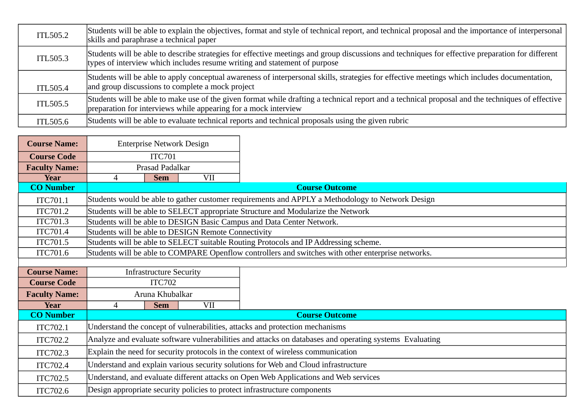| ITL505.2 | Students will be able to explain the objectives, format and style of technical report, and technical proposal and the importance of interpersonal<br>skills and paraphrase a technical paper                                  |
|----------|-------------------------------------------------------------------------------------------------------------------------------------------------------------------------------------------------------------------------------|
| ITL505.3 | Students will be able to describe strategies for effective meetings and group discussions and techniques for effective preparation for different<br>types of interview which includes resume writing and statement of purpose |
| ITL505.4 | Students will be able to apply conceptual awareness of interpersonal skills, strategies for effective meetings which includes documentation,<br>and group discussions to complete a mock project                              |
| ITL505.5 | Students will be able to make use of the given format while drafting a technical report and a technical proposal and the techniques of effective<br>preparation for interviews while appearing for a mock interview           |
| ITL505.6 | Students will be able to evaluate technical reports and technical proposals using the given rubric                                                                                                                            |

 $\overline{\phantom{0}}$ 

**STATISTICS** 

| <b>Course Name:</b>  | <b>Enterprise Network Design</b>                                                                        |                                                                                      |            |                                                                                                    |  |
|----------------------|---------------------------------------------------------------------------------------------------------|--------------------------------------------------------------------------------------|------------|----------------------------------------------------------------------------------------------------|--|
| <b>Course Code</b>   | <b>ITC701</b>                                                                                           |                                                                                      |            |                                                                                                    |  |
| <b>Faculty Name:</b> |                                                                                                         | Prasad Padalkar                                                                      |            |                                                                                                    |  |
| <b>Year</b>          | $\overline{4}$                                                                                          | <b>Sem</b>                                                                           | <b>VII</b> |                                                                                                    |  |
| <b>CO Number</b>     |                                                                                                         |                                                                                      |            | <b>Course Outcome</b>                                                                              |  |
| ITC701.1             |                                                                                                         |                                                                                      |            | Students would be able to gather customer requirements and APPLY a Methodology to Network Design   |  |
| ITC701.2             |                                                                                                         |                                                                                      |            | Students will be able to SELECT appropriate Structure and Modularize the Network                   |  |
| ITC701.3             |                                                                                                         |                                                                                      |            | Students will be able to DESIGN Basic Campus and Data Center Network.                              |  |
| ITC701.4             | Students will be able to DESIGN Remote Connectivity                                                     |                                                                                      |            |                                                                                                    |  |
| ITC701.5             |                                                                                                         | Students will be able to SELECT suitable Routing Protocols and IP Addressing scheme. |            |                                                                                                    |  |
| ITC701.6             |                                                                                                         |                                                                                      |            | Students will be able to COMPARE Openflow controllers and switches with other enterprise networks. |  |
|                      |                                                                                                         |                                                                                      |            |                                                                                                    |  |
| <b>Course Name:</b>  | <b>Infrastructure Security</b>                                                                          |                                                                                      |            |                                                                                                    |  |
| <b>Course Code</b>   | <b>ITC702</b>                                                                                           |                                                                                      |            |                                                                                                    |  |
| <b>Faculty Name:</b> |                                                                                                         | Aruna Khubalkar                                                                      |            |                                                                                                    |  |
| <b>Year</b>          | 4                                                                                                       | <b>Sem</b>                                                                           | <b>VII</b> |                                                                                                    |  |
| <b>CO Number</b>     |                                                                                                         |                                                                                      |            | <b>Course Outcome</b>                                                                              |  |
| ITC702.1             |                                                                                                         |                                                                                      |            | Understand the concept of vulnerabilities, attacks and protection mechanisms                       |  |
| ITC702.2             | Analyze and evaluate software vulnerabilities and attacks on databases and operating systems Evaluating |                                                                                      |            |                                                                                                    |  |
| ITC702.3             | Explain the need for security protocols in the context of wireless communication                        |                                                                                      |            |                                                                                                    |  |
| ITC702.4             |                                                                                                         | Understand and explain various security solutions for Web and Cloud infrastructure   |            |                                                                                                    |  |
| ITC702.5             |                                                                                                         |                                                                                      |            | Understand, and evaluate different attacks on Open Web Applications and Web services               |  |
| ITC702.6             |                                                                                                         |                                                                                      |            | Design appropriate security policies to protect infrastructure components                          |  |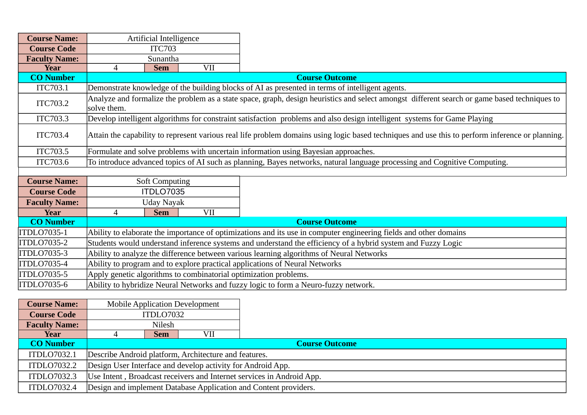| <b>Course Name:</b>  | Artificial Intelligence                                                                                           |                                                                                                                                                  |            |                                                                                                                                              |  |  |  |
|----------------------|-------------------------------------------------------------------------------------------------------------------|--------------------------------------------------------------------------------------------------------------------------------------------------|------------|----------------------------------------------------------------------------------------------------------------------------------------------|--|--|--|
| <b>Course Code</b>   |                                                                                                                   | <b>ITC703</b>                                                                                                                                    |            |                                                                                                                                              |  |  |  |
| <b>Faculty Name:</b> |                                                                                                                   | Sunantha                                                                                                                                         |            |                                                                                                                                              |  |  |  |
| Year                 | 4                                                                                                                 | <b>Sem</b>                                                                                                                                       | <b>VII</b> |                                                                                                                                              |  |  |  |
| <b>CO Number</b>     |                                                                                                                   |                                                                                                                                                  |            | <b>Course Outcome</b>                                                                                                                        |  |  |  |
| ITC703.1             |                                                                                                                   |                                                                                                                                                  |            | Demonstrate knowledge of the building blocks of AI as presented in terms of intelligent agents.                                              |  |  |  |
| ITC703.2             | solve them.                                                                                                       |                                                                                                                                                  |            | Analyze and formalize the problem as a state space, graph, design heuristics and select amongst different search or game based techniques to |  |  |  |
| ITC703.3             |                                                                                                                   |                                                                                                                                                  |            | Develop intelligent algorithms for constraint satisfaction problems and also design intelligent systems for Game Playing                     |  |  |  |
| ITC703.4             |                                                                                                                   | Attain the capability to represent various real life problem domains using logic based techniques and use this to perform inference or planning. |            |                                                                                                                                              |  |  |  |
| <b>ITC703.5</b>      |                                                                                                                   |                                                                                                                                                  |            | Formulate and solve problems with uncertain information using Bayesian approaches.                                                           |  |  |  |
| ITC703.6             |                                                                                                                   |                                                                                                                                                  |            | To introduce advanced topics of AI such as planning, Bayes networks, natural language processing and Cognitive Computing.                    |  |  |  |
|                      |                                                                                                                   |                                                                                                                                                  |            |                                                                                                                                              |  |  |  |
| <b>Course Name:</b>  |                                                                                                                   | <b>Soft Computing</b>                                                                                                                            |            |                                                                                                                                              |  |  |  |
| <b>Course Code</b>   |                                                                                                                   | ITDLO7035                                                                                                                                        |            |                                                                                                                                              |  |  |  |
| <b>Faculty Name:</b> |                                                                                                                   | Uday Nayak                                                                                                                                       |            |                                                                                                                                              |  |  |  |
| <b>Year</b>          | $\overline{4}$                                                                                                    | <b>Sem</b>                                                                                                                                       | <b>VII</b> |                                                                                                                                              |  |  |  |
| <b>CO Number</b>     |                                                                                                                   |                                                                                                                                                  |            | <b>Course Outcome</b>                                                                                                                        |  |  |  |
| ITDLO7035-1          | Ability to elaborate the importance of optimizations and its use in computer engineering fields and other domains |                                                                                                                                                  |            |                                                                                                                                              |  |  |  |
| ITDLO7035-2          | Students would understand inference systems and understand the efficiency of a hybrid system and Fuzzy Logic      |                                                                                                                                                  |            |                                                                                                                                              |  |  |  |
| ITDLO7035-3          | Ability to analyze the difference between various learning algorithms of Neural Networks                          |                                                                                                                                                  |            |                                                                                                                                              |  |  |  |
| ITDLO7035-4          |                                                                                                                   |                                                                                                                                                  |            | Ability to program and to explore practical applications of Neural Networks                                                                  |  |  |  |
| ITDLO7035-5          |                                                                                                                   |                                                                                                                                                  |            | Apply genetic algorithms to combinatorial optimization problems.                                                                             |  |  |  |
| ITDLO7035-6          |                                                                                                                   |                                                                                                                                                  |            | Ability to hybridize Neural Networks and fuzzy logic to form a Neuro-fuzzy network.                                                          |  |  |  |

| <b>Course Name:</b>  |                                                                       |                                                             | <b>Mobile Application Development</b> |                                                                  |  |  |  |
|----------------------|-----------------------------------------------------------------------|-------------------------------------------------------------|---------------------------------------|------------------------------------------------------------------|--|--|--|
| <b>Course Code</b>   |                                                                       | ITDLO7032                                                   |                                       |                                                                  |  |  |  |
| <b>Faculty Name:</b> | Nilesh                                                                |                                                             |                                       |                                                                  |  |  |  |
| Year                 |                                                                       | <b>Sem</b>                                                  | VII                                   |                                                                  |  |  |  |
| <b>CO Number</b>     |                                                                       |                                                             |                                       | <b>Course Outcome</b>                                            |  |  |  |
| <b>ITDLO7032.1</b>   | Describe Android platform, Architecture and features.                 |                                                             |                                       |                                                                  |  |  |  |
| ITDLO7032.2          |                                                                       | Design User Interface and develop activity for Android App. |                                       |                                                                  |  |  |  |
| <b>ITDLO7032.3</b>   | Use Intent, Broadcast receivers and Internet services in Android App. |                                                             |                                       |                                                                  |  |  |  |
| ITDLO7032.4          |                                                                       |                                                             |                                       | Design and implement Database Application and Content providers. |  |  |  |

 $\overline{\phantom{0}}$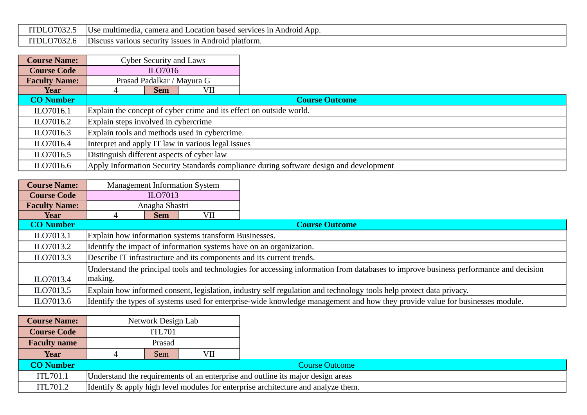| ົ<br>DI.<br><i>.</i><br>، بے ب                                 | multimedia.<br>ADD.<br>m<br>Android<br>camer <sup>.</sup><br>vices<br>$\sim$ $\sim$ $\sim$<br>pased<br><b>SAM</b><br>cation<br>anc<br>.<br>.<br>_______ |
|----------------------------------------------------------------|---------------------------------------------------------------------------------------------------------------------------------------------------------|
| $\sim$<br>$\sim$ $\sim$<br>TDL.<br>, , , ,<br>. <i>. .</i> UJZ | blatform.<br>Android<br>' IN<br>security<br>ussues.<br>DISCUSS<br>various                                                                               |

| <b>Course Name:</b>  | <b>Cyber Security and Laws</b>                                                         |                       |  |  |  |  |  |
|----------------------|----------------------------------------------------------------------------------------|-----------------------|--|--|--|--|--|
| <b>Course Code</b>   | ILO7016                                                                                |                       |  |  |  |  |  |
| <b>Faculty Name:</b> | Prasad Padalkar / Mayura G                                                             |                       |  |  |  |  |  |
| Year                 | VII<br><b>Sem</b>                                                                      |                       |  |  |  |  |  |
| <b>CO Number</b>     |                                                                                        | <b>Course Outcome</b> |  |  |  |  |  |
| ILO7016.1            | Explain the concept of cyber crime and its effect on outside world.                    |                       |  |  |  |  |  |
| ILO7016.2            | Explain steps involved in cybercrime                                                   |                       |  |  |  |  |  |
| ILO7016.3            | Explain tools and methods used in cybercrime.                                          |                       |  |  |  |  |  |
| ILO7016.4            | Interpret and apply IT law in various legal issues                                     |                       |  |  |  |  |  |
| ILO7016.5            | Distinguish different aspects of cyber law                                             |                       |  |  |  |  |  |
| ILO7016.6            | Apply Information Security Standards compliance during software design and development |                       |  |  |  |  |  |

| <b>Course Name:</b>  | <b>Management Information System</b>                                                                                                  |                                                                                                                     |                                                                                                                               |  |  |  |  |  |
|----------------------|---------------------------------------------------------------------------------------------------------------------------------------|---------------------------------------------------------------------------------------------------------------------|-------------------------------------------------------------------------------------------------------------------------------|--|--|--|--|--|
| <b>Course Code</b>   | ILO7013                                                                                                                               |                                                                                                                     |                                                                                                                               |  |  |  |  |  |
| <b>Faculty Name:</b> | Anagha Shastri                                                                                                                        |                                                                                                                     |                                                                                                                               |  |  |  |  |  |
| Year                 | <b>Sem</b>                                                                                                                            | VII                                                                                                                 |                                                                                                                               |  |  |  |  |  |
| <b>CO Number</b>     |                                                                                                                                       |                                                                                                                     | <b>Course Outcome</b>                                                                                                         |  |  |  |  |  |
| ILO7013.1            |                                                                                                                                       | Explain how information systems transform Businesses.                                                               |                                                                                                                               |  |  |  |  |  |
| ILO7013.2            |                                                                                                                                       | Identify the impact of information systems have on an organization.                                                 |                                                                                                                               |  |  |  |  |  |
| ILO7013.3            |                                                                                                                                       | Describe IT infrastructure and its components and its current trends.                                               |                                                                                                                               |  |  |  |  |  |
|                      | Understand the principal tools and technologies for accessing information from databases to improve business performance and decision |                                                                                                                     |                                                                                                                               |  |  |  |  |  |
| ILO7013.4            | making.                                                                                                                               |                                                                                                                     |                                                                                                                               |  |  |  |  |  |
| ILO7013.5            |                                                                                                                                       | Explain how informed consent, legislation, industry self regulation and technology tools help protect data privacy. |                                                                                                                               |  |  |  |  |  |
| ILO7013.6            |                                                                                                                                       |                                                                                                                     | Identify the types of systems used for enterprise-wide knowledge management and how they provide value for businesses module. |  |  |  |  |  |

| <b>Course Name:</b> | Network Design Lab                                                                |        |     |  |  |
|---------------------|-----------------------------------------------------------------------------------|--------|-----|--|--|
| <b>Course Code</b>  | <b>ITL701</b>                                                                     |        |     |  |  |
| <b>Faculty name</b> |                                                                                   | Prasad |     |  |  |
| Year                |                                                                                   | Sem    | VII |  |  |
| <b>CO Number</b>    | <b>Course Outcome</b>                                                             |        |     |  |  |
| ITL701.1            | Understand the requirements of an enterprise and outline its major design areas   |        |     |  |  |
| ITL701.2            | Identify & apply high level modules for enterprise architecture and analyze them. |        |     |  |  |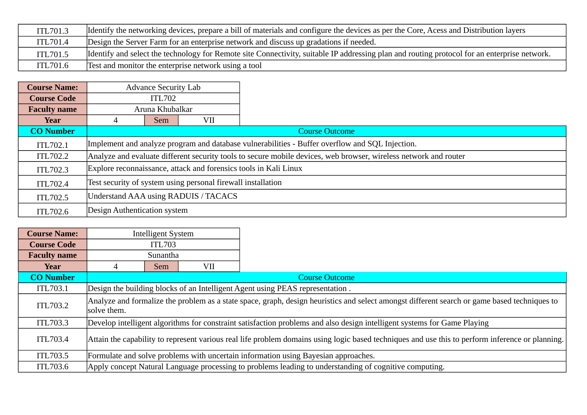| ITL701.3 | Identify the networking devices, prepare a bill of materials and configure the devices as per the Core, Acess and Distribution layers        |
|----------|----------------------------------------------------------------------------------------------------------------------------------------------|
| ITL701.4 | Design the Server Farm for an enterprise network and discuss up gradations if needed.                                                        |
| ITL701.5 | Identify and select the technology for Remote site Connectivity, suitable IP addressing plan and routing protocol for an enterprise network. |
| ITL701.6 | Test and monitor the enterprise network using a tool                                                                                         |

| <b>Course Name:</b> | <b>Advance Security Lab</b>                                                                                      |     |     |  |  |
|---------------------|------------------------------------------------------------------------------------------------------------------|-----|-----|--|--|
| <b>Course Code</b>  | <b>ITL702</b>                                                                                                    |     |     |  |  |
| <b>Faculty name</b> | Aruna Khubalkar                                                                                                  |     |     |  |  |
| Year                |                                                                                                                  | Sem | VII |  |  |
| <b>CO Number</b>    | <b>Course Outcome</b>                                                                                            |     |     |  |  |
| ITL702.1            | Implement and analyze program and database vulnerabilities - Buffer overflow and SQL Injection.                  |     |     |  |  |
| ITL702.2            | Analyze and evaluate different security tools to secure mobile devices, web browser, wireless network and router |     |     |  |  |
| ITL702.3            | Explore reconnaissance, attack and forensics tools in Kali Linux                                                 |     |     |  |  |
| ITL702.4            | Test security of system using personal firewall installation                                                     |     |     |  |  |
| ITL702.5            | Understand AAA using RADUIS / TACACS                                                                             |     |     |  |  |
| ITL702.6            | Design Authentication system                                                                                     |     |     |  |  |

| <b>Course Name:</b> | <b>Intelligent System</b>                                                                                                                                   |                                                                               |  |  |  |
|---------------------|-------------------------------------------------------------------------------------------------------------------------------------------------------------|-------------------------------------------------------------------------------|--|--|--|
| <b>Course Code</b>  | <b>ITL703</b>                                                                                                                                               |                                                                               |  |  |  |
| <b>Faculty name</b> | Sunantha                                                                                                                                                    |                                                                               |  |  |  |
| Year                | <b>Sem</b>                                                                                                                                                  | VII                                                                           |  |  |  |
| <b>CO Number</b>    | <b>Course Outcome</b>                                                                                                                                       |                                                                               |  |  |  |
| ITL703.1            |                                                                                                                                                             | Design the building blocks of an Intelligent Agent using PEAS representation. |  |  |  |
| ITL703.2            | Analyze and formalize the problem as a state space, graph, design heuristics and select amongst different search or game based techniques to<br>solve them. |                                                                               |  |  |  |
| ITL703.3            | Develop intelligent algorithms for constraint satisfaction problems and also design intelligent systems for Game Playing                                    |                                                                               |  |  |  |
| ITL703.4            | Attain the capability to represent various real life problem domains using logic based techniques and use this to perform inference or planning.            |                                                                               |  |  |  |
| ITL703.5            | Formulate and solve problems with uncertain information using Bayesian approaches.                                                                          |                                                                               |  |  |  |
| ITL703.6            | Apply concept Natural Language processing to problems leading to understanding of cognitive computing.                                                      |                                                                               |  |  |  |